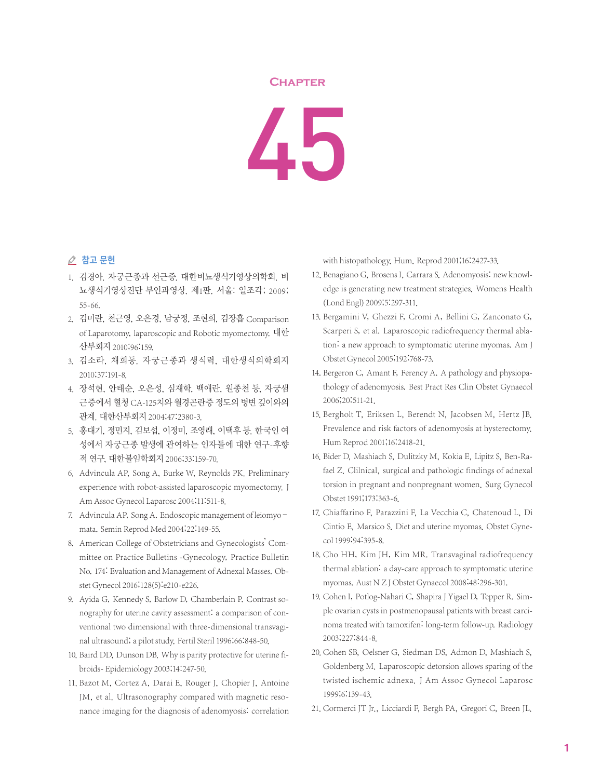## **Chapter**

45

## △ 참고 문헌

- 1. 김경아. 자궁근종과 선근증. 대한비뇨생식기영상의학회. 비 뇨생식기영상진단 부인과영상. 제1판. 서울: 일조각; 2009; 55-66.
- 2. 김미란, 천근영, 오은경, 남궁정, 조현희, 김장흡 Comparison of Laparotomy, laparoscopic and Robotic myomectomy. 대한 산부회지 2010;96:159.
- 3. 김소라, 채희동. 자궁근종과 생식력, 대한생식의학회지 2010;37:191-8.
- 4. 장석현, 안태순, 오은성, 심재학, 백애란, 원종천 등, 자궁샘 근증에서 혈청 CA-125치와 월경곤란증 정도의 병변 깊이와의 관계. 대한산부회지 2004;47:2380-3.
- 5. 홍대기, 정민지, 김보섭, 이정미, 조영래, 이택후 등. 한국인 여 성에서 자궁근종 발생에 관여하는 인자들에 대한 연구-후향 적 연구, 대한불임학회지 2006;33:159-70.
- 6. Advincula AP, Song A, Burke W, Reynolds PK. Preliminary experience with robot-assisted laparoscopic myomectomy. J Am Assoc Gynecol Laparosc 2004;11:511-8.
- 7. Advincula AP, Song A. Endoscopic management of leiomyomata. Semin Reprod Med 2004;22:149-55.
- 8. American College of Obstetricians and Gynecologists' Committee on Practice Bulletins -Gynecology, Practice Bulletin No. 174: Evaluation and Management of Adnexal Masses. Obstet Gynecol 2016;128(5):e210-e226.
- 9. Ayida G, Kennedy S, Barlow D, Chamberlain P. Contrast sonography for uterine cavity assessment: a comparison of conventional two dimensional with three-dimensional transvaginal ultrasound; a pilot study. Fertil Steril 1996;66:848-50.
- 10. Baird DD, Dunson DB. Why is parity protective for uterine fibroids- Epidemiology 2003;14:247-50.
- 11. Bazot M, Cortez A, Darai E, Rouger J, Chopier J, Antoine JM, et al. Ultrasonography compared with magnetic resonance imaging for the diagnosis of adenomyosis: correlation

with histopathology. Hum. Reprod 2001;16:2427-33.

- 12. Benagiano G, Brosens I, Carrara S. Adenomyosis: new knowledge is generating new treatment strategies. Womens Health (Lond Engl) 2009;5:297-311.
- 13. Bergamini V, Ghezzi F, Cromi A, Bellini G, Zanconato G, Scarperi S, et al. Laparoscopic radiofrequency thermal ablation: a new approach to symptomatic uterine myomas. Am J Obstet Gynecol 2005;192:768-73.
- 14. Bergeron C, Amant F, Ferency A. A pathology and physiopathology of adenomyosis. Best Pract Res Clin Obstet Gynaecol 2006;20:511-21.
- 15. Bergholt T, Eriksen L, Berendt N, Jacobsen M, Hertz JB. Prevalence and risk factors of adenomyosis at hysterectomy. Hum Reprod 2001;16:2418-21.
- 16. Bider D, Mashiach S, Dulitzky M, Kokia E, Lipitz S, Ben-Rafael Z. Clilnical, surgical and pathologic findings of adnexal torsion in pregnant and nonpregnant women. Surg Gynecol Obstet 1991;173:363-6.
- 17. Chiaffarino F, Parazzini F, La Vecchia C, Chatenoud L, Di Cintio E, Marsico S. Diet and uterine myomas. Obstet Gynecol 1999;94:395-8.
- 18. Cho HH, Kim JH, Kim MR. Transvaginal radiofrequency thermal ablation: a day-care approach to symptomatic uterine myomas. Aust N Z J Obstet Gynaecol 2008;48:296-301.
- 19. Cohen I, Potlog-Nahari C, Shapira J Yigael D, Tepper R. Simple ovarian cysts in postmenopausal patients with breast carcinoma treated with tamoxifen: long-term follow-up. Radiology 2003;227:844-8.
- 20. Cohen SB, Oelsner G, Siedman DS, Admon D, Mashiach S, Goldenberg M. Laparoscopic detorsion allows sparing of the twisted ischemic adnexa. J Am Assoc Gynecol Laparosc 1999;6:139-43.
- 21. Cormerci JT Jr., Licciardi F, Bergh PA, Gregori C, Breen JL.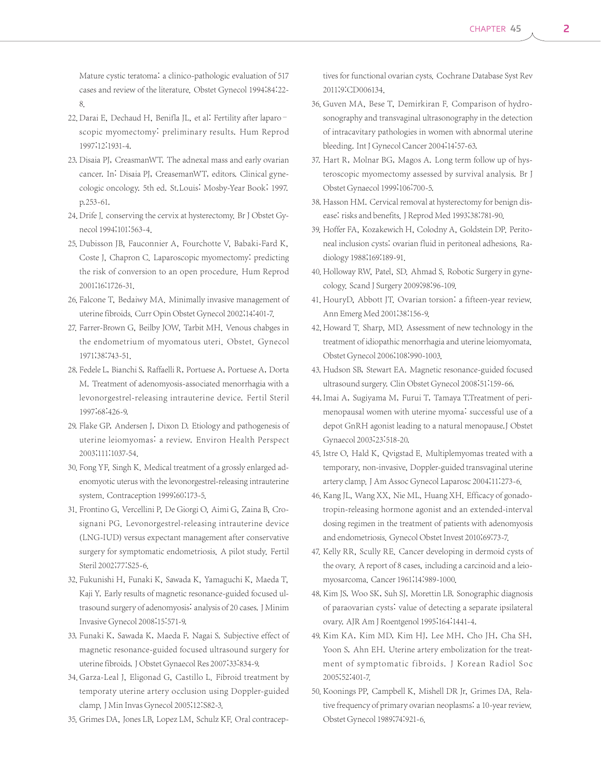Mature cystic teratoma: a clinico-pathologic evaluation of 517 cases and review of the literature. Obstet Gynecol 1994;84:22- 8.

- 22. Darai E, Dechaud H, Benifla JL, et al: Fertility after laparoscopic myomectomy: preliminary results. Hum Reprod 1997;12:1931-4.
- 23. Disaia PJ, CreasmanWT. The adnexal mass and early ovarian cancer. In: Disaia PJ, CreasemanWT, editors. Clinical gynecologic oncology. 5th ed. St.Louis: Mosby-Year Book; 1997. p.253-61.
- 24. Drife J. conserving the cervix at hysterectomy. Br J Obstet Gynecol 1994;101:563-4.
- 25. Dubisson JB, Fauconnier A, Fourchotte V, Babaki-Fard K, Coste J, Chapron C. Laparoscopic myomectomy: predicting the risk of conversion to an open procedure. Hum Reprod 2001;16:1726-31.
- 26. Falcone T, Bedaiwy MA. Minimally invasive management of uterine fibroids. Curr Opin Obstet Gynecol 2002;14:401-7.
- 27. Farrer-Brown G, Beilby JOW, Tarbit MH. Venous chabges in the endometrium of myomatous uteri. Obstet. Gynecol 1971;38:743-51.
- 28. Fedele L, Bianchi S, Raffaelli R, Portuese A, Portuese A, Dorta M. Treatment of adenomyosis-associated menorrhagia with a levonorgestrel-releasing intrauterine device. Fertil Steril 1997;68:426-9.
- 29. Flake GP, Andersen J, Dixon D. Etiology and pathogenesis of uterine leiomyomas: a review. Environ Health Perspect 2003;111:1037-54.
- 30. Fong YF, Singh K. Medical treatment of a grossly enlarged adenomyotic uterus with the levonorgestrel-releasing intrauterine system. Contraception 1999;60:173-5.
- 31. Frontino G, Vercellini P, De Giorgi O, Aimi G, Zaina B, Crosignani PG. Levonorgestrel-releasing intrauterine device (LNG-IUD) versus expectant management after conservative surgery for symptomatic endometriosis. A pilot study. Fertil Steril 2002;77:S25-6.
- 32. Fukunishi H, Funaki K, Sawada K, Yamaguchi K, Maeda T, Kaji Y. Early results of magnetic resonance-guided focused ultrasound surgery of adenomyosis: analysis of 20 cases.J Minim Invasive Gynecol 2008;15:571-9.
- 33. Funaki K, Sawada K, Maeda F, Nagai S. Subjective effect of magnetic resonance-guided focused ultrasound surgery for uterine fibroids.J Obstet Gynaecol Res 2007;33:834-9.
- 34. Garza-Leal J, Eligonad G, Castillo L. Fibroid treatment by temporaty uterine artery occlusion using Doppler-guided clamp.J Min Invas Gynecol 2005;12:S82-3.
- 35. Grimes DA, Jones LB, Lopez LM, Schulz KF. Oral contracep-

tives for functional ovarian cysts. Cochrane Database Syst Rev 2011;9:CD006134.

- 36. Guven MA, Bese T, Demirkiran F. Comparison of hydrosonography and transvaginal ultrasonography in the detection of intracavitary pathologies in women with abnormal uterine bleeding. Int J Gynecol Cancer 2004;14:57-63.
- 37. Hart R, Molnar BG, Magos A. Long term follow up of hysteroscopic myomectomy assessed by survival analysis. Br J Obstet Gynaecol 1999;106:700-5.
- 38. Hasson HM. Cervical removal at hysterectomy for benign disease: risks and benefits. J Reprod Med 1993;38:781-90.
- 39. Hoffer FA, Kozakewich H, Colodny A, Goldstein DP. Peritoneal inclusion cysts: ovarian fluid in peritoneal adhesions. Radiology 1988;169:189-91.
- 40. Holloway RW, Patel, SD. Ahmad S. Robotic Surgery in gynecology. Scand J Surgery 2009;98:96-109.
- 41. HouryD, Abbott JT. Ovarian torsion: a fifteen-year review. Ann Emerg Med 2001;38:156-9.
- 42. Howard T. Sharp, MD. Assessment of new technology in the treatment of idiopathic menorrhagia and uterine leiomyomata. Obstet Gynecol 2006;108:990-1003.
- 43. Hudson SB, Stewart EA. Magnetic resonance-guided focused ultrasound surgery. Clin Obstet Gynecol 2008;51:159-66.
- 44. Imai A, Sugiyama M, Furui T, Tamaya T.Treatment of perimenopausal women with uterine myoma: successful use of a depot GnRH agonist leading to a natural menopause.J Obstet Gynaecol 2003;23:518-20.
- 45. Istre O, Hald K, Qvigstad E. Multiplemyomas treated with a temporary, non-invasive, Doppler-guided transvaginal uterine artery clamp.J Am Assoc Gynecol Laparosc 2004;11:273-6.
- 46. Kang JL, Wang XX, Nie ML, Huang XH. Efficacy of gonadotropin-releasing hormone agonist and an extended-interval dosing regimen in the treatment of patients with adenomyosis and endometriosis. Gynecol Obstet Invest 2010;69:73-7.
- 47. Kelly RR, Scully RE. Cancer developing in dermoid cysts of the ovary. A report of 8 cases, including a carcinoid and a leiomyosarcoma. Cancer 1961;14:989-1000.
- 48. Kim JS, Woo SK, Suh SJ, Morettin LB. Sonographic diagnosis of paraovarian cysts: value of detecting a separate ipsilateral ovary. AJR Am J Roentgenol 1995;164:1441-4.
- 49. Kim KA, Kim MD, Kim HJ, Lee MH, Cho JH, Cha SH, Yoon S, Ahn EH. Uterine artery embolization for the treatment of symptomatic fibroids. J Korean Radiol Soc 2005;52:401-7.
- 50. Koonings PP, Campbell K, Mishell DR Jr, Grimes DA. Relative frequency of primary ovarian neoplasms: a 10-year review. Obstet Gynecol 1989;74:921-6.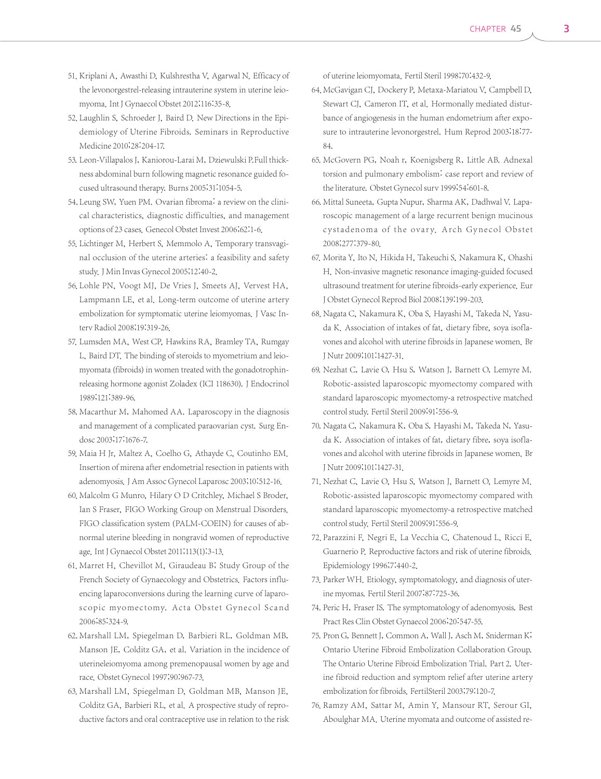- 51. Kriplani A, Awasthi D, Kulshrestha V, Agarwal N. Efficacy of the levonorgestrel-releasing intrauterine system in uterine leiomyoma.Int J Gynaecol Obstet 2012;116:35-8.
- 52. Laughlin S, Schroeder J, Baird D. New Directions in the Epidemiology of Uterine Fibroids. Seminars in Reproductive Medicine 2010;28:204-17.
- 53. Leon-Villapalos J, Kaniorou-Larai M, Dziewulski P.Full thickness abdominal burn following magnetic resonance guided focused ultrasound therapy. Burns 2005;31:1054-5.
- 54. Leung SW, Yuen PM. Ovarian fibroma: a review on the clinical characteristics, diagnostic difficulties, and management options of 23 cases. Genecol Obstet Invest 2006;62:1-6.
- 55. Lichtinger M, Herbert S, Memmolo A, Temporary transvaginal occlusion of the uterine arteries: a feasibility and safety study.J Min Invas Gynecol 2005;12:40-2.
- 56. Lohle PN, Voogt MJ, De Vries J, Smeets AJ, Vervest HA, Lampmann LE, et al. Long-term outcome of uterine artery embolization for symptomatic uterine leiomyomas. J Vasc Interv Radiol 2008;19:319-26.
- 57. Lumsden MA, West CP, Hawkins RA, Bramley TA, Rumgay L, Baird DT. The binding of steroids to myometrium and leiomyomata (fibroids) in women treated with the gonadotrophinreleasing hormone agonist Zoladex (ICI 118630). J Endocrinol 1989;121:389-96.
- 58. Macarthur M, Mahomed AA. Laparoscopy in the diagnosis and management of a complicated paraovarian cyst. Surg Endosc 2003;17:1676-7.
- 59. Maia H Jr, Maltez A, Coelho G, Athayde C, Coutinho EM. Insertion of mirena after endometrial resection in patients with adenomyosis.J Am Assoc Gynecol Laparosc 2003;10:512-16.
- 60. Malcolm G Munro, Hilary O D Critchley, Michael S Broder, Ian S Fraser, FIGO Working Group on Menstrual Disorders. FIGO classification system (PALM-COEIN) for causes of abnormal uterine bleeding in nongravid women of reproductive age.Int J Gynaecol Obstet 2011;113(1):3-13.
- 61. Marret H, Chevillot M, Giraudeau B; Study Group of the French Society of Gynaecology and Obstetrics. Factors influencing laparoconversions during the learning curve of laparoscopic myomectomy. Acta Obstet Gynecol Scand 2006;85:324-9.
- 62. Marshall LM, Spiegelman D, Barbieri RL, Goldman MB, Manson JE, Colditz GA, et al. Variation in the incidence of uterineleiomyoma among premenopausal women by age and race. Obstet Gynecol 1997;90:967-73.
- 63. Marshall LM, Spiegelman D, Goldman MB, Manson JE, Colditz GA, Barbieri RL, et al. A prospective study of reproductive factors and oral contraceptive use in relation to the risk

of uterine leiomyomata. Fertil Steril 1998;70:432-9.

- 64. McGavigan CJ, Dockery P, Metaxa-Mariatou V, Campbell D, Stewart CJ, Cameron IT, et al. Hormonally mediated disturbance of angiogenesis in the human endometrium after exposure to intrauterine levonorgestrel. Hum Reprod 2003;18:77- 84.
- 65. McGovern PG, Noah r, Koenigsberg R, Little AB. Adnexal torsion and pulmonary embolism: case report and review of the literature. Obstet Gynecol surv 1999;54:601-8.
- 66. Mittal Suneeta, Gupta Nupur, Sharma AK, Dadhwal V. Laparoscopic management of a large recurrent benign mucinous cystadenoma of the ovary. Arch Gynecol Obstet 2008;277:379-80.
- 67. Morita Y, Ito N, Hikida H, Takeuchi S, Nakamura K, Ohashi H. Non-invasive magnetic resonance imaging-guided focused ultrasound treatment for uterine fibroids-early experience. Eur J Obstet Gynecol Reprod Biol 2008;139:199-203.
- 68. Nagata C, Nakamura K, Oba S, Hayashi M, Takeda N, Yasuda K. Association of intakes of fat, dietary fibre, soya isoflavones and alcohol with uterine fibroids in Japanese women. Br J Nutr 2009;101:1427-31.
- 69. Nezhat C, Lavie O, Hsu S, Watson J, Barnett O, Lemyre M. Robotic-assisted laparoscopic myomectomy compared with standard laparoscopic myomectomy-a retrospective matched control study. Fertil Steril 2009;91:556-9.
- 70. Nagata C, Nakamura K, Oba S, Hayashi M, Takeda N, Yasuda K. Association of intakes of fat, dietary fibre, soya isoflavones and alcohol with uterine fibroids in Japanese women. Br J Nutr 2009;101:1427-31.
- 71. Nezhat C, Lavie O, Hsu S, Watson J, Barnett O, Lemyre M. Robotic-assisted laparoscopic myomectomy compared with standard laparoscopic myomectomy-a retrospective matched control study. Fertil Steril 2009;91:556-9.
- 72. Parazzini F, Negri E, La Vecchia C, Chatenoud L, Ricci E, Guarnerio P. Reproductive factors and risk of uterine fibroids. Epidemiology 1996;7:440-2.
- 73. Parker WH. Etiology, symptomatology, and diagnosis of uterine myomas. Fertil Steril 2007;87:725-36.
- 74. Peric H, Fraser IS. The symptomatology of adenomyosis. Best Pract Res Clin Obstet Gynaecol 2006;20:547-55.
- 75. Pron G, Bennett J, Common A, Wall J, Asch M, Sniderman K; Ontario Uterine Fibroid Embolization Collaboration Group. The Ontario Uterine Fibroid Embolization Trial. Part 2. Uterine fibroid reduction and symptom relief after uterine artery embolization for fibroids. FertilSteril 2003;79:120-7.
- 76. Ramzy AM, Sattar M, Amin Y, Mansour RT, Serour GI, Aboulghar MA. Uterine myomata and outcome of assisted re-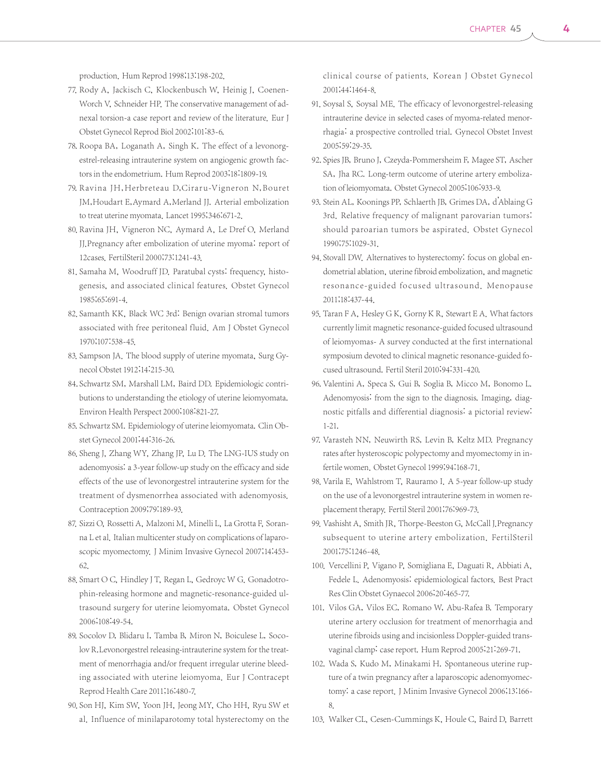production. Hum Reprod 1998;13:198-202.

- 77. Rody A, Jackisch C, Klockenbusch W, Heinig J, Coenen-Worch V, Schneider HP. The conservative management of adnexal torsion-a case report and review of the literature. Eur J Obstet Gynecol Reprod Biol 2002;101:83-6.
- 78. Roopa BA, Loganath A, Singh K. The effect of a levonorgestrel-releasing intrauterine system on angiogenic growth factors in the endometrium. Hum Reprod 2003;18:1809-19.
- 79. Ravina JH, Herbreteau D, Ciraru-Vigneron N, Bouret JM,Houdart E,Aymard A,Merland JJ. Arterial embolization to treat uterine myomata. Lancet 1995;346:671-2.
- 80. Ravina JH, Vigneron NC, Aymard A, Le Dref O, Merland JJ.Pregnancy after embolization of uterine myoma: report of 12cases. FertilSteril 2000;73:1241-43.
- 81. Samaha M, Woodruff JD. Paratubal cysts: frequency, histogenesis, and associated clinical features. Obstet Gynecol 1985;65:691-4.
- 82. Samanth KK, Black WC 3rd: Benign ovarian stromal tumors associated with free peritoneal fluid. Am J Obstet Gynecol 1970;107:538-45.
- 83. Sampson JA. The blood supply of uterine myomata, Surg Gynecol Obstet 1912;14:215-30.
- 84. Schwartz SM, Marshall LM, Baird DD. Epidemiologic contributions to understanding the etiology of uterine leiomyomata. Environ Health Perspect 2000;108:821-27.
- 85. Schwartz SM. Epidemiology of uterine leiomyomata. Clin Obstet Gynecol 2001;44:316-26.
- 86. Sheng J, Zhang WY, Zhang JP, Lu D. The LNG-IUS study on adenomyosis: a 3-year follow-up study on the efficacy and side effects of the use of levonorgestrel intrauterine system for the treatment of dysmenorrhea associated with adenomyosis. Contraception 2009;79:189-93.
- 87. Sizzi O, Rossetti A, Malzoni M, Minelli L, La Grotta F, Soranna L et al. Italian multicenter study on complications of laparoscopic myomectomy. J Minim Invasive Gynecol 2007;14:453- 62.
- 88. Smart O C, Hindley J T, Regan L, Gedroyc W G. Gonadotrophin-releasing hormone and magnetic-resonance-guided ultrasound surgery for uterine leiomyomata. Obstet Gynecol 2006;108:49-54.
- 89. Socolov D, Blidaru I, Tamba B, Miron N, Boiculese L, Socolov R.Levonorgestrel releasing-intrauterine system for the treatment of menorrhagia and/or frequent irregular uterine bleeding associated with uterine leiomyoma. Eur J Contracept Reprod Health Care 2011;16:480-7.
- 90. Son HJ, Kim SW, Yoon JH, Jeong MY, Cho HH, Ryu SW et al. Influence of minilaparotomy total hysterectomy on the

clinical course of patients. Korean J Obstet Gynecol 2001;44:1464-8.

- 91. Soysal S, Soysal ME. The efficacy of levonorgestrel-releasing intrauterine device in selected cases of myoma-related menorrhagia: a prospective controlled trial. Gynecol Obstet Invest 2005;59:29-35.
- 92. Spies JB, Bruno J, Czeyda-Pommersheim F, Magee ST, Ascher SA, Jha RC. Long-term outcome of uterine artery embolization of leiomyomata. Obstet Gynecol 2005;106:933-9.
- 93. Stein AL, Koonings PP, Schlaerth JB, Grimes DA, d'Ablaing G 3rd. Relative frequency of malignant parovarian tumors: should paroarian tumors be aspirated. Obstet Gynecol 1990;75:1029-31.
- 94. Stovall DW. Alternatives to hysterectomy: focus on global endometrial ablation, uterine fibroid embolization, and magnetic resonance-guided focused ultrasound. Menopause 2011;18:437-44.
- 95. Taran F A, Hesley G K, Gorny K R, Stewart E A. What factors currently limit magnetic resonance-guided focused ultrasound of leiomyomas- A survey conducted at the first international symposium devoted to clinical magnetic resonance-guided focused ultrasound. Fertil Steril 2010;94:331-420.
- 96. Valentini A, Speca S, Gui B, Soglia B, Micco M, Bonomo L. Adenomyosis: from the sign to the diagnosis. Imaging, diagnostic pitfalls and differential diagnosis: a pictorial review: 1-21.
- 97. Varasteh NN, Neuwirth RS, Levin B, Keltz MD. Pregnancy rates after hysteroscopic polypectomy and myomectomy in infertile women. Obstet Gynecol 1999;94:168-71.
- 98. Varila E, Wahlstrom T, Rauramo I. A 5-year follow-up study on the use of a levonorgestrel intrauterine system in women replacement therapy. Fertil Steril 2001;76:969-73.
- 99. Vashisht A, Smith JR, Thorpe-Beeston G, McCall J. Pregnancy subsequent to uterine artery embolization. FertilSteril 2001;75:1246-48.
- 100. Vercellini P, Vigano P, Somigliana E, Daguati R, Abbiati A, Fedele L. Adenomyosis: epidemiological factors. Best Pract Res Clin Obstet Gynaecol 2006;20:465-77.
- 101. Vilos GA, Vilos EC, Romano W, Abu-Rafea B. Temporary uterine artery occlusion for treatment of menorrhagia and uterine fibroids using and incisionless Doppler-guided transvaginal clamp: case report. Hum Reprod 2005;21:269-71.
- 102. Wada S, Kudo M, Minakami H. Spontaneous uterine rupture of a twin pregnancy after a laparoscopic adenomyomectomy: a case report. J Minim Invasive Gynecol 2006;13:166- 8.
- 103. Walker CL, Cesen-Cummings K, Houle C, Baird D, Barrett